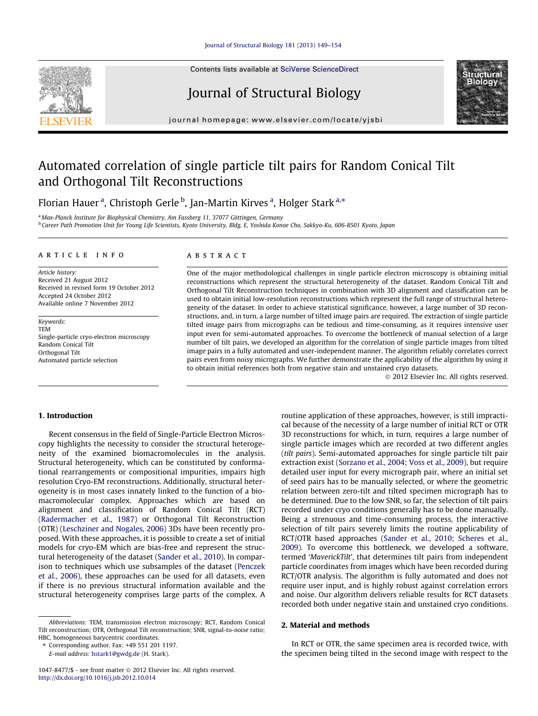## [Journal of Structural Biology 181 \(2013\) 149–154](http://dx.doi.org/10.1016/j.jsb.2012.10.014)

Contents lists available at [SciVerse ScienceDirect](http://www.sciencedirect.com/science/journal/10478477)

# Journal of Structural Biology

journal homepage: [www.elsevier.com/locate/yjsbi](http://www.elsevier.com/locate/yjsbi)

# Automated correlation of single particle tilt pairs for Random Conical Tilt and Orthogonal Tilt Reconstructions

Florian Hauer <sup>a</sup>, Christoph Gerle <sup>b</sup>, Jan-Martin Kirves <sup>a</sup>, Holger Stark <sup>a,</sup>\*

<sup>a</sup> Max-Planck Institute for Biophysical Chemistry, Am Fassberg 11, 37077 Göttingen, Germany <sup>b</sup> Career Path Promotion Unit for Young Life Scientists, Kyoto University, Bldg. E, Yoshida Konoe Cho, Sakkyo-Ku, 606-8501 Kyoto, Japan

#### article info

Article history: Received 21 August 2012 Received in revised form 19 October 2012 Accepted 24 October 2012 Available online 7 November 2012

Keywords: TEM Single-particle cryo-electron microscopy Random Conical Tilt Orthogonal Tilt Automated particle selection

### ABSTRACT

One of the major methodological challenges in single particle electron microscopy is obtaining initial reconstructions which represent the structural heterogeneity of the dataset. Random Conical Tilt and Orthogonal Tilt Reconstruction techniques in combination with 3D alignment and classification can be used to obtain initial low-resolution reconstructions which represent the full range of structural heterogeneity of the dataset. In order to achieve statistical significance, however, a large number of 3D reconstructions, and, in turn, a large number of tilted image pairs are required. The extraction of single particle tilted image pairs from micrographs can be tedious and time-consuming, as it requires intensive user input even for semi-automated approaches. To overcome the bottleneck of manual selection of a large number of tilt pairs, we developed an algorithm for the correlation of single particle images from tilted image pairs in a fully automated and user-independent manner. The algorithm reliably correlates correct pairs even from noisy micrographs. We further demonstrate the applicability of the algorithm by using it to obtain initial references both from negative stain and unstained cryo datasets.

- 2012 Elsevier Inc. All rights reserved.

## 1. Introduction

Recent consensus in the field of Single-Particle Electron Microscopy highlights the necessity to consider the structural heterogeneity of the examined biomacromolecules in the analysis. Structural heterogeneity, which can be constituted by conformational rearrangements or compositional impurities, impairs high resolution Cryo-EM reconstructions. Additionally, structural heterogeneity is in most cases innately linked to the function of a biomacromolecular complex. Approaches which are based on alignment and classification of Random Conical Tilt (RCT) ([Radermacher et al., 1987\)](#page-5-0) or Orthogonal Tilt Reconstruction (OTR) ([Leschziner and Nogales, 2006](#page-5-0)) 3Ds have been recently proposed. With these approaches, it is possible to create a set of initial models for cryo-EM which are bias-free and represent the structural heterogeneity of the dataset ([Sander et al., 2010\)](#page-5-0). In comparison to techniques which use subsamples of the dataset ([Penczek](#page-5-0) [et al., 2006\)](#page-5-0), these approaches can be used for all datasets, even if there is no previous structural information available and the structural heterogeneity comprises large parts of the complex. A

⇑ Corresponding author. Fax: +49 551 201 1197.

E-mail address: [hstark1@gwdg.de](mailto:hstark1@gwdg.de) (H. Stark).

routine application of these approaches, however, is still impractical because of the necessity of a large number of initial RCT or OTR 3D reconstructions for which, in turn, requires a large number of single particle images which are recorded at two different angles (tilt pairs). Semi-automated approaches for single particle tilt pair extraction exist [\(Sorzano et al., 2004; Voss et al., 2009](#page-5-0)), but require detailed user input for every micrograph pair, where an initial set of seed pairs has to be manually selected, or where the geometric relation between zero-tilt and tilted specimen micrograph has to be determined. Due to the low SNR, so far, the selection of tilt pairs recorded under cryo conditions generally has to be done manually. Being a strenuous and time-consuming process, the interactive selection of tilt pairs severely limits the routine applicability of RCT/OTR based approaches ([Sander et al., 2010; Scheres et al.,](#page-5-0) [2009](#page-5-0)). To overcome this bottleneck, we developed a software, termed 'MaverickTilt', that determines tilt pairs from independent particle coordinates from images which have been recorded during RCT/OTR analysis. The algorithm is fully automated and does not require user input, and is highly robust against correlation errors and noise. Our algorithm delivers reliable results for RCT datasets recorded both under negative stain and unstained cryo conditions.

## 2. Material and methods

In RCT or OTR, the same specimen area is recorded twice, with the specimen being tilted in the second image with respect to the





Abbreviations: TEM, transmission electron microscopy; RCT, Random Conical Tilt reconstruction; OTR, Orthogonal Tilt reconstruction; SNR, signal-to-noise ratio; HBC, homogeneous barycentric coordinates.

<sup>1047-8477/\$ -</sup> see front matter © 2012 Elsevier Inc. All rights reserved. <http://dx.doi.org/10.1016/j.jsb.2012.10.014>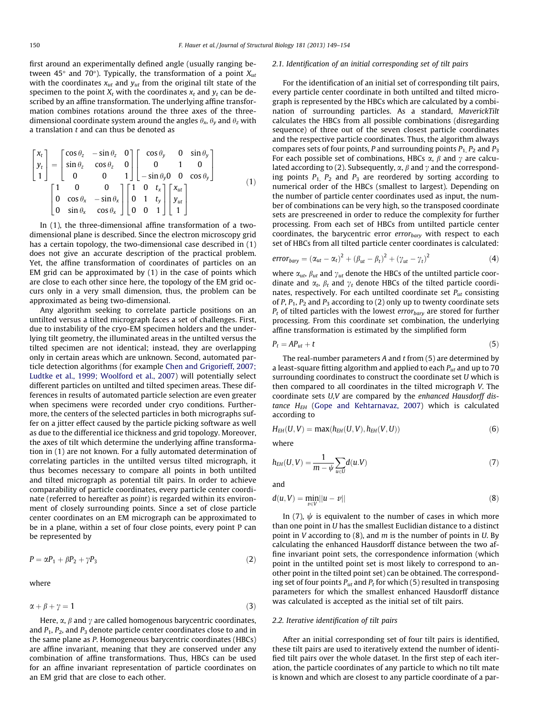first around an experimentally defined angle (usually ranging between 45 $\degree$  and 70 $\degree$ ). Typically, the transformation of a point  $X_{ut}$ with the coordinates  $x_{ut}$  and  $y_{ut}$  from the original tilt state of the specimen to the point  $X_t$  with the coordinates  $x_t$  and  $y_t$  can be described by an affine transformation. The underlying affine transformation combines rotations around the three axes of the threedimensional coordinate system around the angles  $\theta_x$ ,  $\theta_y$  and  $\theta_z$  with a translation  $t$  and can thus be denoted as

$$
\begin{bmatrix} x_t \\ y_t \\ 1 \end{bmatrix} = \begin{bmatrix} \cos \theta_z & -\sin \theta_z & 0 \\ \sin \theta_z & \cos \theta_z & 0 \\ 0 & 0 & 1 \end{bmatrix} \begin{bmatrix} \cos \theta_y & 0 & \sin \theta_y \\ 0 & 1 & 0 \\ -\sin \theta_y 0 & 0 & \cos \theta_y \end{bmatrix}
$$

$$
\begin{bmatrix} 1 & 0 & 0 \\ 0 & \cos \theta_x & -\sin \theta_x \\ 0 & \sin \theta_x & \cos \theta_x \end{bmatrix} \begin{bmatrix} 1 & 0 & t_x \\ 0 & 1 & t_y \\ 0 & 0 & 1 \end{bmatrix} \begin{bmatrix} x_{ut} \\ y_{ut} \\ 1 \end{bmatrix}
$$
(1)

In (1), the three-dimensional affine transformation of a twodimensional plane is described. Since the electron microscopy grid has a certain topology, the two-dimensional case described in (1) does not give an accurate description of the practical problem. Yet, the affine transformation of coordinates of particles on an EM grid can be approximated by (1) in the case of points which are close to each other since here, the topology of the EM grid occurs only in a very small dimension, thus, the problem can be approximated as being two-dimensional.

Any algorithm seeking to correlate particle positions on an untilted versus a tilted micrograph faces a set of challenges. First, due to instability of the cryo-EM specimen holders and the underlying tilt geometry, the illuminated areas in the untilted versus the tilted specimen are not identical; instead, they are overlapping only in certain areas which are unknown. Second, automated particle detection algorithms (for example [Chen and Grigorieff, 2007;](#page-5-0) [Ludtke et al., 1999; Woolford et al., 2007\)](#page-5-0) will potentially select different particles on untilted and tilted specimen areas. These differences in results of automated particle selection are even greater when specimens were recorded under cryo conditions. Furthermore, the centers of the selected particles in both micrographs suffer on a jitter effect caused by the particle picking software as well as due to the differential ice thickness and grid topology. Moreover, the axes of tilt which determine the underlying affine transformation in (1) are not known. For a fully automated determination of correlating particles in the untilted versus tilted micrograph, it thus becomes necessary to compare all points in both untilted and tilted micrograph as potential tilt pairs. In order to achieve comparability of particle coordinates, every particle center coordinate (referred to hereafter as point) is regarded within its environment of closely surrounding points. Since a set of close particle center coordinates on an EM micrograph can be approximated to be in a plane, within a set of four close points, every point P can be represented by

$$
P = \alpha P_1 + \beta P_2 + \gamma P_3 \tag{2}
$$

where

$$
\alpha + \beta + \gamma = 1 \tag{3}
$$

Here,  $\alpha$ ,  $\beta$  and  $\gamma$  are called homogenous barycentric coordinates, and  $P_1$ ,  $P_2$ , and  $P_3$  denote particle center coordinates close to and in the same plane as P. Homogeneous barycentric coordinates (HBCs) are affine invariant, meaning that they are conserved under any combination of affine transformations. Thus, HBCs can be used for an affine invariant representation of particle coordinates on an EM grid that are close to each other.

#### 2.1. Identification of an initial corresponding set of tilt pairs

For the identification of an initial set of corresponding tilt pairs, every particle center coordinate in both untilted and tilted micrograph is represented by the HBCs which are calculated by a combination of surrounding particles. As a standard, MaverickTilt calculates the HBCs from all possible combinations (disregarding sequence) of three out of the seven closest particle coordinates and the respective particle coordinates. Thus, the algorithm always compares sets of four points, P and surrounding points  $P_1$ ,  $P_2$  and  $P_3$ For each possible set of combinations, HBCs  $\alpha$ ,  $\beta$  and  $\gamma$  are calculated according to (2). Subsequently,  $\alpha$ ,  $\beta$  and  $\gamma$  and the corresponding points  $P_1$ ,  $P_2$  and  $P_3$  are reordered by sorting according to numerical order of the HBCs (smallest to largest). Depending on the number of particle center coordinates used as input, the number of combinations can be very high, so the transposed coordinate sets are prescreened in order to reduce the complexity for further processing. From each set of HBCs from untilted particle center coordinates, the barycentric error  $error_{bary}$  with respect to each set of HBCs from all tilted particle center coordinates is calculated:

$$
error_{bary} = (\alpha_{ut} - \alpha_t)^2 + (\beta_{ut} - \beta_t)^2 + (\gamma_{ut} - \gamma_t)^2
$$
\n(4)

where  $\alpha_{ut}$ ,  $\beta_{ut}$  and  $\gamma_{ut}$  denote the HBCs of the untilted particle coordinate and  $\alpha_t$ ,  $\beta_t$  and  $\gamma_t$  denote HBCs of the tilted particle coordinates, respectively. For each untilted coordinate set  $P_{ut}$  consisting of P,  $P_1$ ,  $P_2$  and  $P_3$  according to (2) only up to twenty coordinate sets  $P_t$  of tilted particles with the lowest error<sub>bary</sub> are stored for further processing. From this coordinate set combination, the underlying affine transformation is estimated by the simplified form

$$
P_t = AP_{ut} + t \tag{5}
$$

The real-number parameters  $A$  and  $t$  from  $(5)$  are determined by a least-square fitting algorithm and applied to each  $P_{ut}$  and up to 70 surrounding coordinates to construct the coordinate set U which is then compared to all coordinates in the tilted micrograph V. The coordinate sets U,V are compared by the enhanced Hausdorff distance  $H<sub>EH</sub>$  [\(Gope and Kehtarnavaz, 2007\)](#page-5-0) which is calculated according to

$$
H_{EH}(U,V) = \max(h_{EH}(U,V), h_{EH}(V,U))
$$
\n(6)

where

$$
h_{EH}(U,V) = \frac{1}{m - \psi} \sum_{u \in U} d(u.V)
$$
 (7)

and

$$
d(u, V) = \min_{v \in V} ||u - v|| \tag{8}
$$

In (7),  $\psi$  is equivalent to the number of cases in which more than one point in U has the smallest Euclidian distance to a distinct point in V according to  $(8)$ , and m is the number of points in U. By calculating the enhanced Hausdorff distance between the two affine invariant point sets, the correspondence information (which point in the untilted point set is most likely to correspond to another point in the tilted point set) can be obtained. The corresponding set of four points  $P_{ut}$  and  $P_t$  for which (5) resulted in transposing parameters for which the smallest enhanced Hausdorff distance was calculated is accepted as the initial set of tilt pairs.

#### 2.2. Iterative identification of tilt pairs

After an initial corresponding set of four tilt pairs is identified, these tilt pairs are used to iteratively extend the number of identified tilt pairs over the whole dataset. In the first step of each iteration, the particle coordinates of any particle to which no tilt mate is known and which are closest to any particle coordinate of a par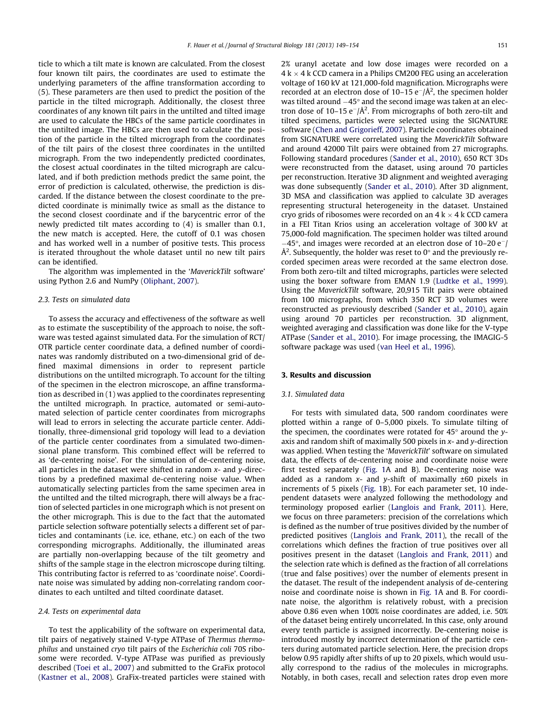ticle to which a tilt mate is known are calculated. From the closest four known tilt pairs, the coordinates are used to estimate the underlying parameters of the affine transformation according to (5). These parameters are then used to predict the position of the particle in the tilted micrograph. Additionally, the closest three coordinates of any known tilt pairs in the untilted and tilted image are used to calculate the HBCs of the same particle coordinates in the untilted image. The HBCs are then used to calculate the position of the particle in the tilted micrograph from the coordinates of the tilt pairs of the closest three coordinates in the untilted micrograph. From the two independently predicted coordinates, the closest actual coordinates in the tilted micrograph are calculated, and if both prediction methods predict the same point, the error of prediction is calculated, otherwise, the prediction is discarded. If the distance between the closest coordinate to the predicted coordinate is minimally twice as small as the distance to the second closest coordinate and if the barycentric error of the newly predicted tilt mates according to (4) is smaller than 0.1, the new match is accepted. Here, the cutoff of 0.1 was chosen and has worked well in a number of positive tests. This process is iterated throughout the whole dataset until no new tilt pairs can be identified.

The algorithm was implemented in the 'MaverickTilt software' using Python 2.6 and NumPy [\(Oliphant, 2007](#page-5-0)).

#### 2.3. Tests on simulated data

To assess the accuracy and effectiveness of the software as well as to estimate the susceptibility of the approach to noise, the software was tested against simulated data. For the simulation of RCT/ OTR particle center coordinate data, a defined number of coordinates was randomly distributed on a two-dimensional grid of defined maximal dimensions in order to represent particle distributions on the untilted micrograph. To account for the tilting of the specimen in the electron microscope, an affine transformation as described in (1) was applied to the coordinates representing the untilted micrograph. In practice, automated or semi-automated selection of particle center coordinates from micrographs will lead to errors in selecting the accurate particle center. Additionally, three-dimensional grid topology will lead to a deviation of the particle center coordinates from a simulated two-dimensional plane transform. This combined effect will be referred to as 'de-centering noise'. For the simulation of de-centering noise, all particles in the dataset were shifted in random  $x$ - and  $y$ -directions by a predefined maximal de-centering noise value. When automatically selecting particles from the same specimen area in the untilted and the tilted micrograph, there will always be a fraction of selected particles in one micrograph which is not present on the other micrograph. This is due to the fact that the automated particle selection software potentially selects a different set of particles and contaminants (i.e. ice, ethane, etc.) on each of the two corresponding micrographs. Additionally, the illuminated areas are partially non-overlapping because of the tilt geometry and shifts of the sample stage in the electron microscope during tilting. This contributing factor is referred to as 'coordinate noise'. Coordinate noise was simulated by adding non-correlating random coordinates to each untilted and tilted coordinate dataset.

#### 2.4. Tests on experimental data

To test the applicability of the software on experimental data, tilt pairs of negatively stained V-type ATPase of Thermus thermophilus and unstained cryo tilt pairs of the Escherichia coli 70S ribosome were recorded. V-type ATPase was purified as previously described ([Toei et al., 2007\)](#page-5-0) and submitted to the GraFix protocol ([Kastner et al., 2008](#page-5-0)). GraFix-treated particles were stained with 2% uranyl acetate and low dose images were recorded on a  $4 k \times 4 k$  CCD camera in a Philips CM200 FEG using an acceleration voltage of 160 kV at 121,000-fold magnification. Micrographs were recorded at an electron dose of  $10-15 e^-/\AA^2$ , the specimen holder was tilted around  $-45^{\circ}$  and the second image was taken at an electron dose of  $10-15 e^-/\AA^2$ . From micrographs of both zero-tilt and tilted specimens, particles were selected using the SIGNATURE software ([Chen and Grigorieff, 2007\)](#page-5-0). Particle coordinates obtained from SIGNATURE were correlated using the MaverickTilt Software and around 42000 Tilt pairs were obtained from 27 micrographs. Following standard procedures [\(Sander et al., 2010](#page-5-0)), 650 RCT 3Ds were reconstructed from the dataset, using around 70 particles per reconstruction. Iterative 3D alignment and weighted averaging was done subsequently [\(Sander et al., 2010\)](#page-5-0). After 3D alignment, 3D MSA and classification was applied to calculate 3D averages representing structural heterogeneity in the dataset. Unstained cryo grids of ribosomes were recorded on an  $4 \text{ k} \times 4 \text{ k CCD camera}$ in a FEI Titan Krios using an acceleration voltage of 300 kV at 75,000-fold magnification. The specimen holder was tilted around  $-45^{\circ}$ , and images were recorded at an electron dose of 10-20 e<sup>-</sup>/ Å<sup>2</sup>. Subsequently, the holder was reset to 0 $^{\circ}$  and the previously recorded specimen areas were recorded at the same electron dose. From both zero-tilt and tilted micrographs, particles were selected using the boxer software from EMAN 1.9 ([Ludtke et al., 1999\)](#page-5-0). Using the MaverickTilt software, 20,915 Tilt pairs were obtained from 100 micrographs, from which 350 RCT 3D volumes were reconstructed as previously described ([Sander et al., 2010](#page-5-0)), again using around 70 particles per reconstruction. 3D alignment, weighted averaging and classification was done like for the V-type ATPase [\(Sander et al., 2010\)](#page-5-0). For image processing, the IMAGIG-5 software package was used [\(van Heel et al., 1996](#page-5-0)).

## 3. Results and discussion

### 3.1. Simulated data

For tests with simulated data, 500 random coordinates were plotted within a range of 0–5,000 pixels. To simulate tilting of the specimen, the coordinates were rotated for  $45^{\circ}$  around the yaxis and random shift of maximally 500 pixels in  $x$ - and  $y$ -direction was applied. When testing the 'MaverickTilt' software on simulated data, the effects of de-centering noise and coordinate noise were first tested separately [\(Fig. 1](#page-3-0)A and B). De-centering noise was added as a random  $x$ - and  $y$ -shift of maximally  $\pm 60$  pixels in increments of 5 pixels [\(Fig. 1](#page-3-0)B). For each parameter set, 10 independent datasets were analyzed following the methodology and terminology proposed earlier [\(Langlois and Frank, 2011](#page-5-0)). Here, we focus on three parameters: precision of the correlations which is defined as the number of true positives divided by the number of predicted positives [\(Langlois and Frank, 2011\)](#page-5-0), the recall of the correlations which defines the fraction of true positives over all positives present in the dataset ([Langlois and Frank, 2011\)](#page-5-0) and the selection rate which is defined as the fraction of all correlations (true and false positives) over the number of elements present in the dataset. The result of the independent analysis of de-centering noise and coordinate noise is shown in [Fig. 1](#page-3-0)A and B. For coordinate noise, the algorithm is relatively robust, with a precision above 0.86 even when 100% noise coordinates are added, i.e. 50% of the dataset being entirely uncorrelated. In this case, only around every tenth particle is assigned incorrectly. De-centering noise is introduced mostly by incorrect determination of the particle centers during automated particle selection. Here, the precision drops below 0.95 rapidly after shifts of up to 20 pixels, which would usually correspond to the radius of the molecules in micrographs. Notably, in both cases, recall and selection rates drop even more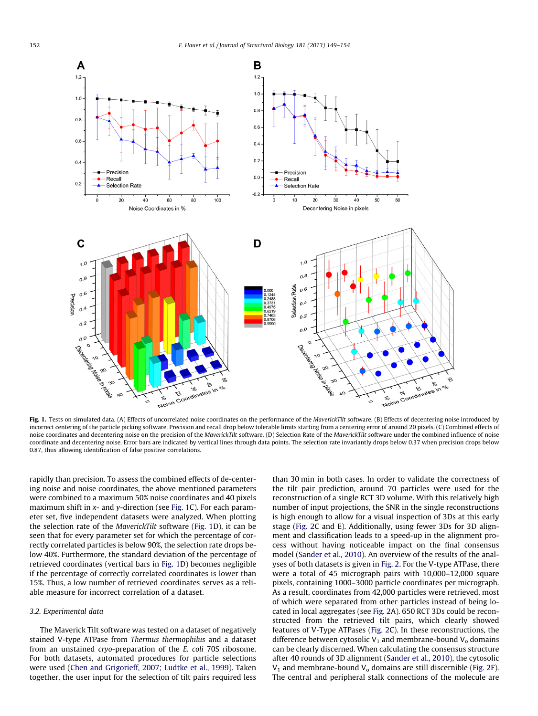<span id="page-3-0"></span>

Fig. 1. Tests on simulated data. (A) Effects of uncorrelated noise coordinates on the performance of the MaverickTilt software. (B) Effects of decentering noise introduced by incorrect centering of the particle picking software. Precision and recall drop below tolerable limits starting from a centering error of around 20 pixels. (C) Combined effects of noise coordinates and decentering noise on the precision of the MaverickTilt software. (D) Selection Rate of the MaverickTilt software under the combined influence of noise coordinate and decentering noise. Error bars are indicated by vertical lines through data points. The selection rate invariantly drops below 0.37 when precision drops below 0.87, thus allowing identification of false positive correlations.

rapidly than precision. To assess the combined effects of de-centering noise and noise coordinates, the above mentioned parameters were combined to a maximum 50% noise coordinates and 40 pixels maximum shift in x- and y-direction (see Fig. 1C). For each parameter set, five independent datasets were analyzed. When plotting the selection rate of the MaverickTilt software (Fig. 1D), it can be seen that for every parameter set for which the percentage of correctly correlated particles is below 90%, the selection rate drops below 40%. Furthermore, the standard deviation of the percentage of retrieved coordinates (vertical bars in Fig. 1D) becomes negligible if the percentage of correctly correlated coordinates is lower than 15%. Thus, a low number of retrieved coordinates serves as a reliable measure for incorrect correlation of a dataset.

#### 3.2. Experimental data

The Maverick Tilt software was tested on a dataset of negatively stained V-type ATPase from Thermus thermophilus and a dataset from an unstained cryo-preparation of the E. coli 70S ribosome. For both datasets, automated procedures for particle selections were used ([Chen and Grigorieff, 2007; Ludtke et al., 1999](#page-5-0)). Taken together, the user input for the selection of tilt pairs required less

than 30 min in both cases. In order to validate the correctness of the tilt pair prediction, around 70 particles were used for the reconstruction of a single RCT 3D volume. With this relatively high number of input projections, the SNR in the single reconstructions is high enough to allow for a visual inspection of 3Ds at this early stage ([Fig. 2](#page-4-0)C and E). Additionally, using fewer 3Ds for 3D alignment and classification leads to a speed-up in the alignment process without having noticeable impact on the final consensus model ([Sander et al., 2010](#page-5-0)). An overview of the results of the analyses of both datasets is given in [Fig. 2](#page-4-0). For the V-type ATPase, there were a total of 45 micrograph pairs with 10,000–12,000 square pixels, containing 1000–3000 particle coordinates per micrograph. As a result, coordinates from 42,000 particles were retrieved, most of which were separated from other particles instead of being located in local aggregates (see [Fig. 2A](#page-4-0)). 650 RCT 3Ds could be reconstructed from the retrieved tilt pairs, which clearly showed features of V-Type ATPases ([Fig. 2](#page-4-0)C). In these reconstructions, the difference between cytosolic  $V_1$  and membrane-bound  $V_0$  domains can be clearly discerned. When calculating the consensus structure after 40 rounds of 3D alignment [\(Sander et al., 2010\)](#page-5-0), the cytosolic  $V_1$  and membrane-bound  $V_0$  domains are still discernible ([Fig. 2F](#page-4-0)). The central and peripheral stalk connections of the molecule are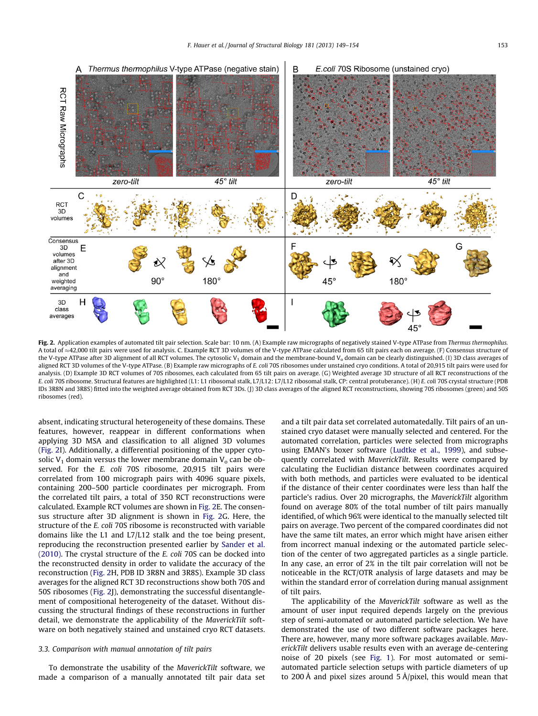<span id="page-4-0"></span>

Fig. 2. Application examples of automated tilt pair selection. Scale bar: 10 nm. (A) Example raw micrographs of negatively stained V-type ATPase from Thermus thermophilus. A total of  $\approx$ 42,000 tilt pairs were used for analysis. C. Example RCT 3D volumes of the V-type ATPase calculated from 65 tilt pairs each on average. (F) Consensus structure of the V-type ATPase after 3D alignment of all RCT volumes. The cytosolic V<sub>1</sub> domain and the membrane-bound V<sub>0</sub> domain can be clearly distinguished. (I) 3D class averages of aligned RCT 3D volumes of the V-type ATPase. (B) Example raw micrographs of E. coli 70S ribosomes under unstained cryo conditions. A total of 20,915 tilt pairs were used for analysis. (D) Example 3D RCT volumes of 70S ribosomes, each calculated from 65 tilt pairs on average. (G) Weighted average 3D structure of all RCT reconstructions of the E. coli 70S ribosome. Structural features are highlighted (L1: L1 ribosomal stalk, L7/L12: L7/L12 ribosomal stalk, CP: central protuberance). (H) E. coli 70S crystal structure (PDB IDs 3R8N and 3R8S) fitted into the weighted average obtained from RCT 3Ds. (J) 3D class averages of the aligned RCT reconstructions, showing 70S ribosomes (green) and 50S ribosomes (red).

absent, indicating structural heterogeneity of these domains. These features, however, reappear in different conformations when applying 3D MSA and classification to all aligned 3D volumes (Fig. 2I). Additionally, a differential positioning of the upper cytosolic  $V_1$  domain versus the lower membrane domain  $V_0$  can be observed. For the E. coli 70S ribosome, 20,915 tilt pairs were correlated from 100 micrograph pairs with 4096 square pixels, containing 200–500 particle coordinates per micrograph. From the correlated tilt pairs, a total of 350 RCT reconstructions were calculated. Example RCT volumes are shown in Fig. 2E. The consensus structure after 3D alignment is shown in Fig. 2G. Here, the structure of the E. coli 70S ribosome is reconstructed with variable domains like the L1 and L7/L12 stalk and the toe being present, reproducing the reconstruction presented earlier by [Sander et al.](#page-5-0) [\(2010\)](#page-5-0). The crystal structure of the E. coli 70S can be docked into the reconstructed density in order to validate the accuracy of the reconstruction (Fig. 2H, PDB ID 3R8N and 3R8S). Example 3D class averages for the aligned RCT 3D reconstructions show both 70S and 50S ribosomes (Fig. 2J), demonstrating the successful disentanglement of compositional heterogeneity of the dataset. Without discussing the structural findings of these reconstructions in further detail, we demonstrate the applicability of the MaverickTilt software on both negatively stained and unstained cryo RCT datasets.

## 3.3. Comparison with manual annotation of tilt pairs

To demonstrate the usability of the MaverickTilt software, we made a comparison of a manually annotated tilt pair data set and a tilt pair data set correlated automatedally. Tilt pairs of an unstained cryo dataset were manually selected and centered. For the automated correlation, particles were selected from micrographs using EMAN's boxer software [\(Ludtke et al., 1999\)](#page-5-0), and subsequently correlated with MaverickTilt. Results were compared by calculating the Euclidian distance between coordinates acquired with both methods, and particles were evaluated to be identical if the distance of their center coordinates were less than half the particle's radius. Over 20 micrographs, the MaverickTilt algorithm found on average 80% of the total number of tilt pairs manually identified, of which 96% were identical to the manually selected tilt pairs on average. Two percent of the compared coordinates did not have the same tilt mates, an error which might have arisen either from incorrect manual indexing or the automated particle selection of the center of two aggregated particles as a single particle. In any case, an error of 2% in the tilt pair correlation will not be noticeable in the RCT/OTR analysis of large datasets and may be within the standard error of correlation during manual assignment of tilt pairs.

The applicability of the MaverickTilt software as well as the amount of user input required depends largely on the previous step of semi-automated or automated particle selection. We have demonstrated the use of two different software packages here. There are, however, many more software packages available. MaverickTilt delivers usable results even with an average de-centering noise of 20 pixels (see [Fig. 1](#page-3-0)). For most automated or semiautomated particle selection setups with particle diameters of up to 200 Å and pixel sizes around 5 Å/pixel, this would mean that